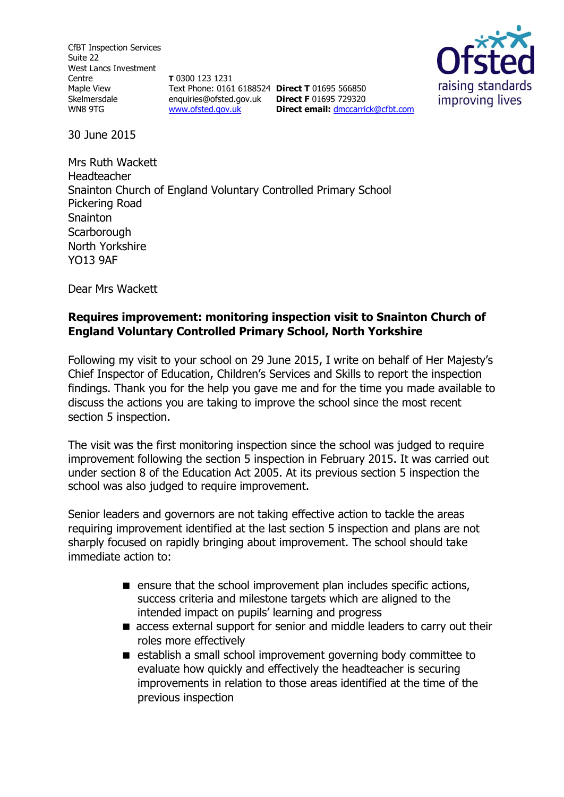CfBT Inspection Services Suite 22 West Lancs Investment Centre Maple View Skelmersdale WN8 9TG

**T** 0300 123 1231 Text Phone: 0161 6188524 **Direct T** 01695 566850 enquiries@ofsted.gov.uk **Direct F** 01695 729320 [www.ofsted.gov.uk](http://www.ofsted.gov.uk/)

**Direct email:** [dmccarrick@cfbt.com](file:///C:/Users/jyoung/AppData/Local/Microsoft/Windows/Temporary%20Internet%20Files/Content.Outlook/T859JZHX/dmccarrick@cfbt.com)



30 June 2015

Mrs Ruth Wackett Headteacher Snainton Church of England Voluntary Controlled Primary School Pickering Road Snainton **Scarborough** North Yorkshire YO13 9AF

Dear Mrs Wackett

## **Requires improvement: monitoring inspection visit to Snainton Church of England Voluntary Controlled Primary School, North Yorkshire**

Following my visit to your school on 29 June 2015, I write on behalf of Her Majesty's Chief Inspector of Education, Children's Services and Skills to report the inspection findings. Thank you for the help you gave me and for the time you made available to discuss the actions you are taking to improve the school since the most recent section 5 inspection.

The visit was the first monitoring inspection since the school was judged to require improvement following the section 5 inspection in February 2015. It was carried out under section 8 of the Education Act 2005. At its previous section 5 inspection the school was also judged to require improvement.

Senior leaders and governors are not taking effective action to tackle the areas requiring improvement identified at the last section 5 inspection and plans are not sharply focused on rapidly bringing about improvement. The school should take immediate action to:

- **E** ensure that the school improvement plan includes specific actions, success criteria and milestone targets which are aligned to the intended impact on pupils' learning and progress
- access external support for senior and middle leaders to carry out their roles more effectively
- establish a small school improvement governing body committee to evaluate how quickly and effectively the headteacher is securing improvements in relation to those areas identified at the time of the previous inspection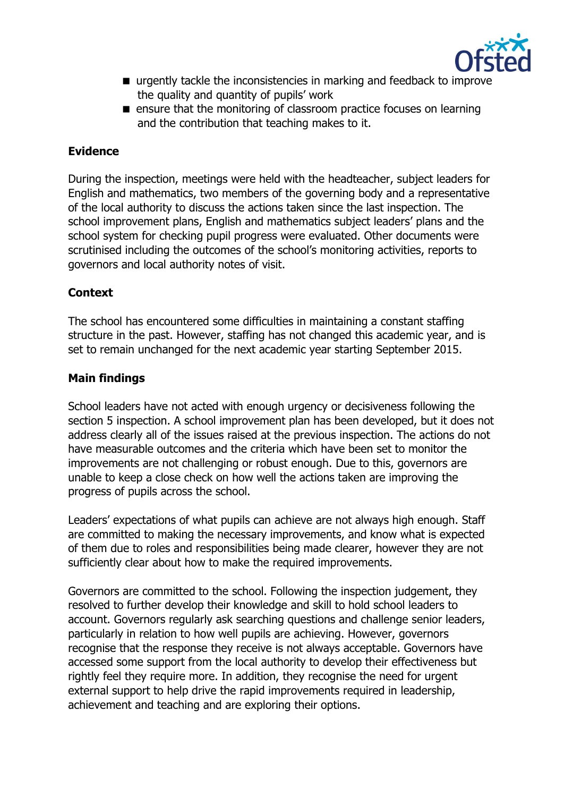

- urgently tackle the inconsistencies in marking and feedback to improve the quality and quantity of pupils' work
- **E** ensure that the monitoring of classroom practice focuses on learning and the contribution that teaching makes to it.

# **Evidence**

During the inspection, meetings were held with the headteacher, subject leaders for English and mathematics, two members of the governing body and a representative of the local authority to discuss the actions taken since the last inspection. The school improvement plans, English and mathematics subject leaders' plans and the school system for checking pupil progress were evaluated. Other documents were scrutinised including the outcomes of the school's monitoring activities, reports to governors and local authority notes of visit.

## **Context**

The school has encountered some difficulties in maintaining a constant staffing structure in the past. However, staffing has not changed this academic year, and is set to remain unchanged for the next academic year starting September 2015.

## **Main findings**

School leaders have not acted with enough urgency or decisiveness following the section 5 inspection. A school improvement plan has been developed, but it does not address clearly all of the issues raised at the previous inspection. The actions do not have measurable outcomes and the criteria which have been set to monitor the improvements are not challenging or robust enough. Due to this, governors are unable to keep a close check on how well the actions taken are improving the progress of pupils across the school.

Leaders' expectations of what pupils can achieve are not always high enough. Staff are committed to making the necessary improvements, and know what is expected of them due to roles and responsibilities being made clearer, however they are not sufficiently clear about how to make the required improvements.

Governors are committed to the school. Following the inspection judgement, they resolved to further develop their knowledge and skill to hold school leaders to account. Governors regularly ask searching questions and challenge senior leaders, particularly in relation to how well pupils are achieving. However, governors recognise that the response they receive is not always acceptable. Governors have accessed some support from the local authority to develop their effectiveness but rightly feel they require more. In addition, they recognise the need for urgent external support to help drive the rapid improvements required in leadership, achievement and teaching and are exploring their options.